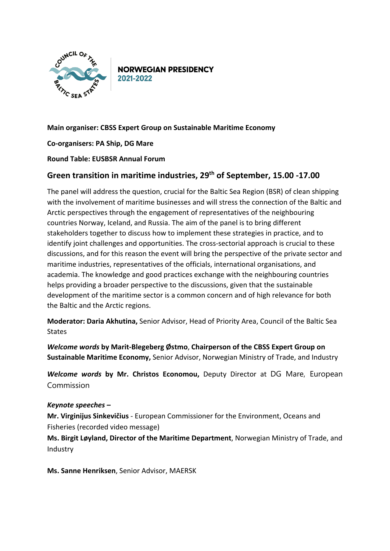

**NORWEGIAN PRESIDENCY** 2021-2022

## **Main organiser: CBSS Expert Group on Sustainable Maritime Economy**

**Co-organisers: PA Ship, DG Mare**

## **Round Table: EUSBSR Annual Forum**

## **Green transition in maritime industries, 29th of September, 15.00 -17.00**

The panel will address the question, crucial for the Baltic Sea Region (BSR) of clean shipping with the involvement of maritime businesses and will stress the connection of the Baltic and Arctic perspectives through the engagement of representatives of the neighbouring countries Norway, Iceland, and Russia. The aim of the panel is to bring different stakeholders together to discuss how to implement these strategies in practice, and to identify joint challenges and opportunities. The cross-sectorial approach is crucial to these discussions, and for this reason the event will bring the perspective of the private sector and maritime industries, representatives of the officials, international organisations, and academia. The knowledge and good practices exchange with the neighbouring countries helps providing a broader perspective to the discussions, given that the sustainable development of the maritime sector is a common concern and of high relevance for both the Baltic and the Arctic regions.

**Moderator: Daria Akhutina,** Senior Advisor, Head of Priority Area, Council of the Baltic Sea States

*Welcome words* **by Marit-Blegeberg Østmo**, **Chairperson of the CBSS Expert Group on Sustainable Maritime Economy,** Senior Advisor, Norwegian Ministry of Trade, and Industry

*Welcome words* **by Mr. Christos Economou,** Deputy Director at DG Mare, European Commission

## *Keynote speeches –*

**Mr. Virginijus Sinkevičius** - European Commissioner for the Environment, Oceans and Fisheries (recorded video message)

**Ms. Birgit Løyland, Director of the Maritime Department**, Norwegian Ministry of Trade, and Industry

**Ms. Sanne Henriksen**, Senior Advisor, MAERSK